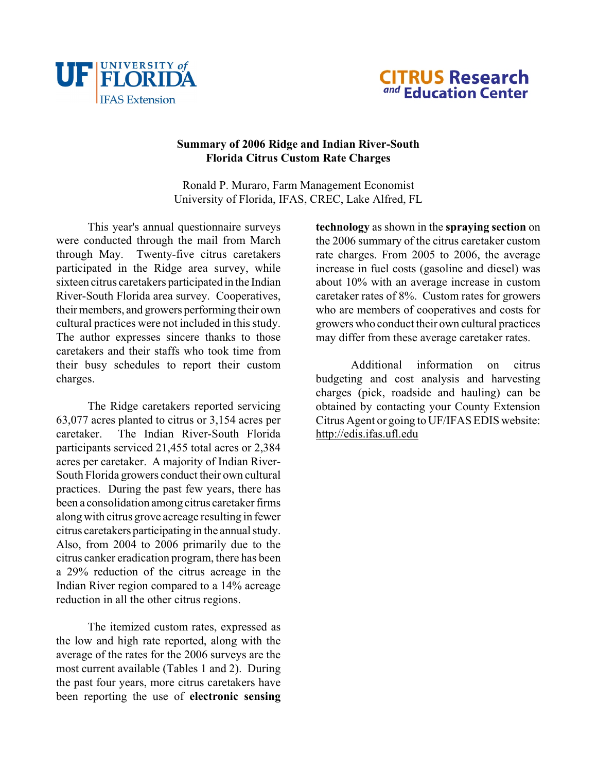



## **Summary of 2006 Ridge and Indian River-South Florida Citrus Custom Rate Charges**

Ronald P. Muraro, Farm Management Economist University of Florida, IFAS, CREC, Lake Alfred, FL

This year's annual questionnaire surveys were conducted through the mail from March through May. Twenty-five citrus caretakers participated in the Ridge area survey, while sixteen citrus caretakers participated in the Indian River-South Florida area survey. Cooperatives, their members, and growers performing their own cultural practices were not included in this study. The author expresses sincere thanks to those caretakers and their staffs who took time from their busy schedules to report their custom charges.

The Ridge caretakers reported servicing 63,077 acres planted to citrus or 3,154 acres per caretaker. The Indian River-South Florida participants serviced 21,455 total acres or 2,384 acres per caretaker. A majority of Indian River-South Florida growers conduct their own cultural practices. During the past few years, there has been a consolidation among citrus caretaker firms along with citrus grove acreage resulting in fewer citrus caretakers participating in the annual study. Also, from 2004 to 2006 primarily due to the citrus canker eradication program, there has been a 29% reduction of the citrus acreage in the Indian River region compared to a 14% acreage reduction in all the other citrus regions.

The itemized custom rates, expressed as the low and high rate reported, along with the average of the rates for the 2006 surveys are the most current available (Tables 1 and 2). During the past four years, more citrus caretakers have been reporting the use of **electronic sensing** **technology** as shown in the **spraying section** on the 2006 summary of the citrus caretaker custom rate charges. From 2005 to 2006, the average increase in fuel costs (gasoline and diesel) was about 10% with an average increase in custom caretaker rates of 8%. Custom rates for growers who are members of cooperatives and costs for growers who conduct their own cultural practices may differ from these average caretaker rates.

Additional information on citrus budgeting and cost analysis and harvesting charges (pick, roadside and hauling) can be obtained by contacting your County Extension Citrus Agent or going to UF/IFAS EDIS website: <http://edis.ifas.ufl.edu>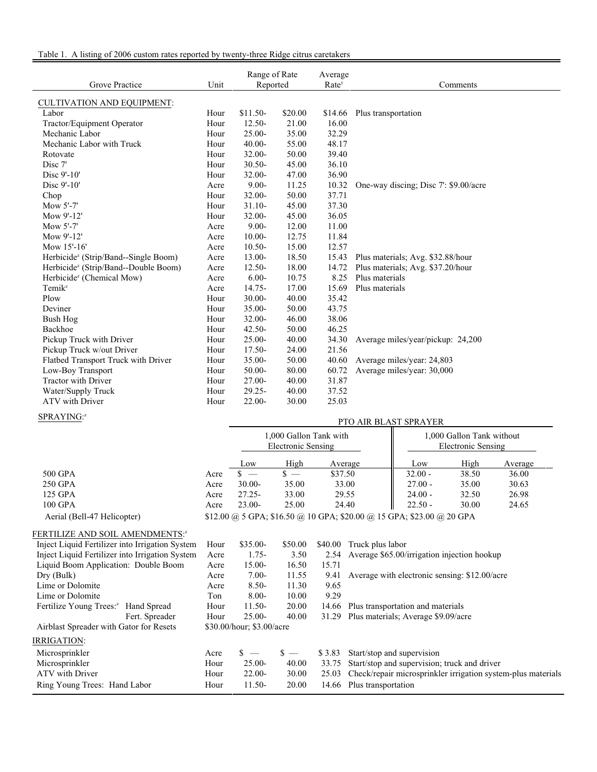## Table 1. A listing of 2006 custom rates reported by twenty-three Ridge citrus caretakers

| Grove Practice                                   | Unit | Range of Rate<br>Reported |         | Average<br>Rate <sup>y</sup> | Comments                             |
|--------------------------------------------------|------|---------------------------|---------|------------------------------|--------------------------------------|
| CULTIVATION AND EQUIPMENT:                       |      |                           |         |                              |                                      |
| Labor                                            | Hour | $$11.50-$                 | \$20.00 | \$14.66                      | Plus transportation                  |
| Tractor/Equipment Operator                       | Hour | $12.50 -$                 | 21.00   | 16.00                        |                                      |
| Mechanic Labor                                   | Hour | $25.00 -$                 | 35.00   | 32.29                        |                                      |
| Mechanic Labor with Truck                        | Hour | $40.00 -$                 | 55.00   | 48.17                        |                                      |
| Rotovate                                         | Hour | $32.00 -$                 | 50.00   | 39.40                        |                                      |
| Disc 7'                                          | Hour | $30.50 -$                 | 45.00   | 36.10                        |                                      |
| Disc 9'-10'                                      | Hour | 32.00-                    | 47.00   | 36.90                        |                                      |
| Disc 9'-10'                                      | Acre | $9.00 -$                  | 11.25   | 10.32                        | One-way discing; Disc 7: \$9.00/acre |
| Chop                                             | Hour | 32.00-                    | 50.00   | 37.71                        |                                      |
| Mow 5'-7'                                        | Hour | $31.10 -$                 | 45.00   | 37.30                        |                                      |
| Mow 9'-12'                                       | Hour | $32.00 -$                 | 45.00   | 36.05                        |                                      |
| Mow 5'-7'                                        | Acre | $9.00 -$                  | 12.00   | 11.00                        |                                      |
| Mow 9'-12'                                       | Acre | $10.00 -$                 | 12.75   | 11.84                        |                                      |
| Mow 15'-16'                                      | Acre | $10.50 -$                 | 15.00   | 12.57                        |                                      |
| Herbicide <sup>z</sup> (Strip/Band--Single Boom) | Acre | 13.00-                    | 18.50   | 15.43                        | Plus materials; Avg. \$32.88/hour    |
| Herbicide <sup>z</sup> (Strip/Band--Double Boom) | Acre | $12.50 -$                 | 18.00   | 14.72                        | Plus materials; Avg. \$37.20/hour    |
| Herbicide <sup>z</sup> (Chemical Mow)            | Acre | $6.00 -$                  | 10.75   | 8.25                         | Plus materials                       |
| Temik <sup>z</sup>                               | Acre | $14.75 -$                 | 17.00   | 15.69                        | Plus materials                       |
| Plow                                             | Hour | $30.00 -$                 | 40.00   | 35.42                        |                                      |
| Deviner                                          | Hour | 35.00-                    | 50.00   | 43.75                        |                                      |
| Bush Hog                                         | Hour | $32.00 -$                 | 46.00   | 38.06                        |                                      |
| Backhoe                                          | Hour | $42.50 -$                 | 50.00   | 46.25                        |                                      |
| Pickup Truck with Driver                         | Hour | $25.00 -$                 | 40.00   | 34.30                        | Average miles/year/pickup: 24,200    |
| Pickup Truck w/out Driver                        | Hour | $17.50-$                  | 24.00   | 21.56                        |                                      |
| Flatbed Transport Truck with Driver              | Hour | 35.00-                    | 50.00   | 40.60                        | Average miles/year: 24,803           |
| Low-Boy Transport                                | Hour | $50.00 -$                 | 80.00   | 60.72                        | Average miles/year: 30,000           |
| Tractor with Driver                              | Hour | $27.00 -$                 | 40.00   | 31.87                        |                                      |
| Water/Supply Truck                               | Hour | $29.25 -$                 | 40.00   | 37.52                        |                                      |
| <b>ATV</b> with Driver                           | Hour | $22.00 -$                 | 30.00   | 25.03                        |                                      |

#### SPRAYING:

## PTO AIR BLAST SPRAYER

|                             |      |           | 1,000 Gallon Tank with<br>Electronic Sensing |                                                                       | 1,000 Gallon Tank without<br>Electronic Sensing |       |         |
|-----------------------------|------|-----------|----------------------------------------------|-----------------------------------------------------------------------|-------------------------------------------------|-------|---------|
|                             |      | Low       | High                                         | Average                                                               | Low                                             | High  | Average |
| 500 GPA                     | Acre |           | $\mathbf{s} =$                               | \$37.50                                                               | $32.00 -$                                       | 38.50 | 36.00   |
| 250 GPA                     | Acre | $30.00 -$ | 35.00                                        | 33.00                                                                 | $27.00 -$                                       | 35.00 | 30.63   |
| 125 GPA                     | Acre | $27.25 -$ | 33.00                                        | 29.55                                                                 | $24.00 -$                                       | 32.50 | 26.98   |
| 100 GPA                     | Acre | $23.00-$  | 25.00                                        | 24.40                                                                 | $22.50 -$                                       | 30.00 | 24.65   |
| Aerial (Bell-47 Helicopter) |      |           |                                              | \$12.00 @ 5 GPA; \$16.50 @ 10 GPA; \$20.00 @ 15 GPA; \$23.00 @ 20 GPA |                                                 |       |         |

#### FERTILIZE AND SOIL AMENDMENTS:<sup>2</sup>

| Inject Liquid Fertilizer into Irrigation System | Hour | $$35.00-$                 | \$50.00        | \$40.00 | Truck plus labor                                             |
|-------------------------------------------------|------|---------------------------|----------------|---------|--------------------------------------------------------------|
| Inject Liquid Fertilizer into Irrigation System | Acre | $1.75-$                   | 3.50           | 2.54    | Average \$65.00/irrigation injection hookup                  |
| Liquid Boom Application: Double Boom            | Acre | $15.00 -$                 | 16.50          | 15.71   |                                                              |
| Dry (Bulk)                                      | Acre | $7.00-$                   | 11.55          | 9.41    | Average with electronic sensing: \$12,00/acre                |
| Lime or Dolomite                                | Acre | $8.50 -$                  | 11.30          | 9.65    |                                                              |
| Lime or Dolomite                                | Ton  | $8.00 -$                  | 10.00          | 9.29    |                                                              |
| Fertilize Young Trees: <sup>2</sup> Hand Spread | Hour | $11.50-$                  | 20.00          | 14.66   | Plus transportation and materials                            |
| Fert. Spreader                                  | Hour | $25.00 -$                 | 40.00          |         | 31.29 Plus materials; Average \$9.09/acre                    |
| Airblast Spreader with Gator for Resets         |      | \$30.00/hour; \$3.00/acre |                |         |                                                              |
| IRRIGATION:                                     |      |                           |                |         |                                                              |
| Microsprinkler                                  | Acre | $s =$                     | $\mathbb{S}$ — | \$3.83  | Start/stop and supervision                                   |
| Microsprinkler                                  | Hour | $25.00 -$                 | 40.00          | 33.75   | Start/stop and supervision; truck and driver                 |
| ATV with Driver                                 | Hour | $22.00 -$                 | 30.00          | 25.03   | Check/repair microsprinkler irrigation system-plus materials |
| Ring Young Trees: Hand Labor                    | Hour | $11.50-$                  | 20.00          |         | 14.66 Plus transportation                                    |
|                                                 |      |                           |                |         |                                                              |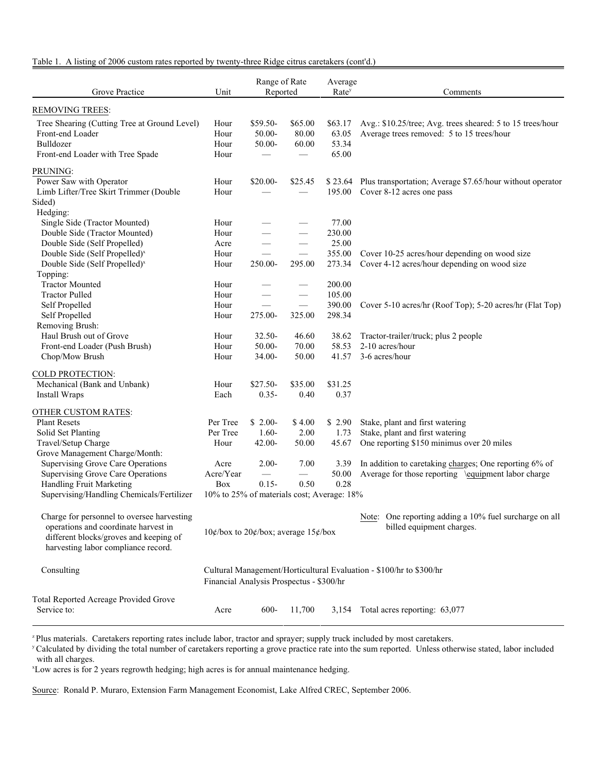# Table 1. A listing of 2006 custom rates reported by twenty-three Ridge citrus caretakers (cont'd.)

| Grove Practice                                                                                                                                                      | Unit                                                                          | Range of Rate<br>Reported                |                               | Average<br>Rate <sup>y</sup>       | Comments                                                                                                        |  |
|---------------------------------------------------------------------------------------------------------------------------------------------------------------------|-------------------------------------------------------------------------------|------------------------------------------|-------------------------------|------------------------------------|-----------------------------------------------------------------------------------------------------------------|--|
| <b>REMOVING TREES:</b>                                                                                                                                              |                                                                               |                                          |                               |                                    |                                                                                                                 |  |
| Tree Shearing (Cutting Tree at Ground Level)<br>Front-end Loader<br>Bulldozer<br>Front-end Loader with Tree Spade                                                   | Hour<br>Hour<br>Hour<br>Hour                                                  | \$59.50-<br>50.00-<br>50.00-             | \$65.00<br>80.00<br>60.00     | \$63.17<br>63.05<br>53.34<br>65.00 | Avg.: \$10.25/tree; Avg. trees sheared: 5 to 15 trees/hour<br>Average trees removed: 5 to 15 trees/hour         |  |
| PRUNING:                                                                                                                                                            |                                                                               |                                          |                               |                                    |                                                                                                                 |  |
| Power Saw with Operator<br>Limb Lifter/Tree Skirt Trimmer (Double<br>Sided)                                                                                         | Hour<br>Hour                                                                  | \$20.00-                                 | \$25.45                       | 195.00                             | \$23.64 Plus transportation; Average \$7.65/hour without operator<br>Cover 8-12 acres one pass                  |  |
| Hedging:<br>Single Side (Tractor Mounted)                                                                                                                           | Hour                                                                          |                                          |                               | 77.00                              |                                                                                                                 |  |
| Double Side (Tractor Mounted)<br>Double Side (Self Propelled)<br>Double Side (Self Propelled) <sup>x</sup>                                                          | Hour<br>Acre<br>Hour                                                          |                                          |                               | 230.00<br>25.00<br>355.00          | Cover 10-25 acres/hour depending on wood size                                                                   |  |
| Double Side (Self Propelled) <sup>x</sup><br>Topping:                                                                                                               | Hour                                                                          | 250.00-                                  | 295.00                        | 273.34                             | Cover 4-12 acres/hour depending on wood size                                                                    |  |
| <b>Tractor Mounted</b><br><b>Tractor Pulled</b>                                                                                                                     | Hour<br>Hour                                                                  |                                          | $\overbrace{\phantom{13333}}$ | 200.00<br>105.00                   |                                                                                                                 |  |
| Self Propelled<br>Self Propelled<br>Removing Brush:                                                                                                                 | Hour<br>Hour                                                                  | 275.00-                                  | 325.00                        | 390.00<br>298.34                   | Cover 5-10 acres/hr (Roof Top); 5-20 acres/hr (Flat Top)                                                        |  |
| Haul Brush out of Grove<br>Front-end Loader (Push Brush)                                                                                                            | Hour<br>Hour                                                                  | 32.50-<br>50.00-                         | 46.60<br>70.00                | 38.62<br>58.53                     | Tractor-trailer/truck; plus 2 people<br>2-10 acres/hour                                                         |  |
| Chop/Mow Brush                                                                                                                                                      | Hour                                                                          | 34.00-                                   | 50.00                         | 41.57                              | 3-6 acres/hour                                                                                                  |  |
| <b>COLD PROTECTION:</b><br>Mechanical (Bank and Unbank)<br>Install Wraps                                                                                            | Hour<br>Each                                                                  | $$27.50-$<br>$0.35 -$                    | \$35.00<br>0.40               | \$31.25<br>0.37                    |                                                                                                                 |  |
| OTHER CUSTOM RATES:                                                                                                                                                 |                                                                               |                                          |                               |                                    |                                                                                                                 |  |
| <b>Plant Resets</b><br>Solid Set Planting<br>Travel/Setup Charge                                                                                                    | Per Tree<br>Per Tree<br>Hour                                                  | $$2.00-$<br>$1.60-$<br>$42.00 -$         | \$4.00<br>2.00<br>50.00       | \$2.90<br>1.73<br>45.67            | Stake, plant and first watering<br>Stake, plant and first watering<br>One reporting \$150 minimus over 20 miles |  |
| Grove Management Charge/Month:<br><b>Supervising Grove Care Operations</b><br><b>Supervising Grove Care Operations</b>                                              | Acre<br>Acre/Year                                                             | $2.00-$<br>$\overbrace{\phantom{aaaaa}}$ | 7.00                          | 3.39<br>50.00                      | In addition to caretaking charges; One reporting 6% of<br>Average for those reporting \equipment labor charge   |  |
| Handling Fruit Marketing<br>Supervising/Handling Chemicals/Fertilizer                                                                                               | $0.15 -$<br>0.28<br>Box<br>0.50<br>10% to 25% of materials cost; Average: 18% |                                          |                               |                                    |                                                                                                                 |  |
| Charge for personnel to oversee harvesting<br>operations and coordinate harvest in<br>different blocks/groves and keeping of<br>harvesting labor compliance record. | $10$ ¢/box to 20¢/box; average $15$ ¢/box                                     |                                          |                               |                                    | Note: One reporting adding a 10% fuel surcharge on all<br>billed equipment charges.                             |  |
| Consulting                                                                                                                                                          | Financial Analysis Prospectus - \$300/hr                                      |                                          |                               |                                    | Cultural Management/Horticultural Evaluation - \$100/hr to \$300/hr                                             |  |
| Total Reported Acreage Provided Grove<br>Service to:                                                                                                                | Acre                                                                          | 600-                                     | 11,700                        | 3,154                              | Total acres reporting: 63,077                                                                                   |  |

<sup>z</sup> Plus materials. Caretakers reporting rates include labor, tractor and sprayer; supply truck included by most caretakers.

<sup>y</sup> Calculated by dividing the total number of caretakers reporting a grove practice rate into the sum reported. Unless otherwise stated, labor included with all charges.

<sup>x</sup>Low acres is for 2 years regrowth hedging; high acres is for annual maintenance hedging.

Source: Ronald P. Muraro, Extension Farm Management Economist, Lake Alfred CREC, September 2006.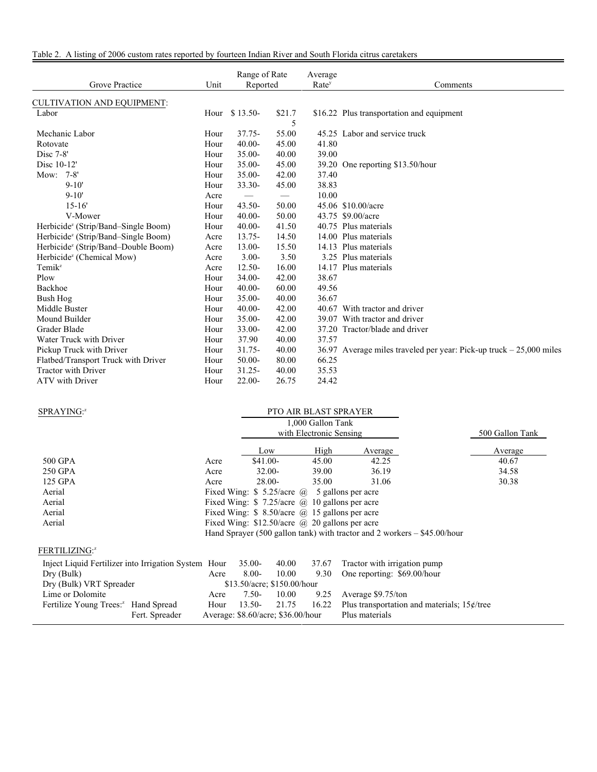| Grove Practice                                  | Unit | Range of Rate<br>Reported |        | Average<br>Rate <sup>y</sup> | Comments                                                       |
|-------------------------------------------------|------|---------------------------|--------|------------------------------|----------------------------------------------------------------|
| <b>CULTIVATION AND EQUIPMENT:</b>               |      |                           |        |                              |                                                                |
| Labor                                           | Hour | $$13.50-$                 | \$21.7 |                              | \$16.22 Plus transportation and equipment                      |
|                                                 |      |                           | 5      |                              |                                                                |
| Mechanic Labor                                  | Hour | $37.75 -$                 | 55.00  |                              | 45.25 Labor and service truck                                  |
| Rotovate                                        | Hour | $40.00 -$                 | 45.00  | 41.80                        |                                                                |
| $Disc 7-8'$                                     | Hour | $35.00 -$                 | 40.00  | 39.00                        |                                                                |
| Disc 10-12'                                     | Hour | $35.00 -$                 | 45.00  | 39.20                        | One reporting \$13.50/hour                                     |
| Mow: 7-8'                                       | Hour | $35.00 -$                 | 42.00  | 37.40                        |                                                                |
| $9 - 10'$                                       | Hour | 33.30-                    | 45.00  | 38.83                        |                                                                |
| $9 - 10'$                                       | Acre |                           |        | 10.00                        |                                                                |
| $15 - 16'$                                      | Hour | $43.50 -$                 | 50.00  |                              | 45.06 \$10.00/acre                                             |
| V-Mower                                         | Hour | $40.00 -$                 | 50.00  |                              | 43.75 \$9.00/acre                                              |
| Herbicide <sup>z</sup> (Strip/Band–Single Boom) | Hour | $40.00 -$                 | 41.50  |                              | 40.75 Plus materials                                           |
| Herbicide <sup>z</sup> (Strip/Band–Single Boom) | Acre | $13.75 -$                 | 14.50  |                              | 14.00 Plus materials                                           |
| Herbicide <sup>z</sup> (Strip/Band-Double Boom) | Acre | 13.00-                    | 15.50  |                              | 14.13 Plus materials                                           |
| Herbicide <sup>z</sup> (Chemical Mow)           | Acre | $3.00 -$                  | 3.50   |                              | 3.25 Plus materials                                            |
| $Temik^z$                                       | Acre | $12.50 -$                 | 16.00  |                              | 14.17 Plus materials                                           |
| Plow                                            | Hour | $34.00 -$                 | 42.00  | 38.67                        |                                                                |
| Backhoe                                         | Hour | $40.00 -$                 | 60.00  | 49.56                        |                                                                |
| <b>Bush Hog</b>                                 | Hour | $35.00 -$                 | 40.00  | 36.67                        |                                                                |
| Middle Buster                                   | Hour | $40.00 -$                 | 42.00  |                              | 40.67 With tractor and driver                                  |
| Mound Builder                                   | Hour | $35.00 -$                 | 42.00  |                              | 39.07 With tractor and driver                                  |
| Grader Blade                                    | Hour | $33.00 -$                 | 42.00  |                              | 37.20 Tractor/blade and driver                                 |
| Water Truck with Driver                         | Hour | 37.90                     | 40.00  | 37.57                        |                                                                |
| Pickup Truck with Driver                        | Hour | $31.75 -$                 | 40.00  | 36.97                        | Average miles traveled per year: Pick-up truck $-25,000$ miles |
| Flatbed/Transport Truck with Driver             | Hour | $50.00 -$                 | 80.00  | 66.25                        |                                                                |
| <b>Tractor with Driver</b>                      | Hour | $31.25 -$                 | 40.00  | 35.53                        |                                                                |
| <b>ATV</b> with Driver                          | Hour | $22.00 -$                 | 26.75  | 24.42                        |                                                                |

| SPRAYING: <sup>2</sup>                               |                                                            |           |                             |                         | <b>PTO AIR BLAST SPRAYER</b>                                               |                 |  |
|------------------------------------------------------|------------------------------------------------------------|-----------|-----------------------------|-------------------------|----------------------------------------------------------------------------|-----------------|--|
|                                                      |                                                            |           | 1,000 Gallon Tank           |                         |                                                                            |                 |  |
|                                                      |                                                            |           |                             | with Electronic Sensing |                                                                            | 500 Gallon Tank |  |
|                                                      |                                                            | Low       |                             | High                    | Average                                                                    | Average         |  |
| 500 GPA                                              | Acre                                                       | \$41.00-  |                             | 45.00                   | 42.25                                                                      | 40.67           |  |
| 250 GPA                                              | Acre                                                       | $32.00 -$ |                             | 39.00                   | 36.19                                                                      | 34.58           |  |
| 125 GPA                                              | Acre                                                       | 28.00-    |                             | 35.00                   | 31.06                                                                      | 30.38           |  |
| Aerial                                               | Fixed Wing: $\frac{1}{2}$ 5.25/acre (a) 5 gallons per acre |           |                             |                         |                                                                            |                 |  |
| Aerial                                               |                                                            |           |                             |                         | Fixed Wing: $$7.25/acre$ @ 10 gallons per acre                             |                 |  |
| Aerial                                               | Fixed Wing: $$8.50/acre$ ( $@$ 15 gallons per acre         |           |                             |                         |                                                                            |                 |  |
| Aerial                                               |                                                            |           |                             |                         | Fixed Wing: $$12.50/acre$ @ 20 gallons per acre                            |                 |  |
|                                                      |                                                            |           |                             |                         | Hand Sprayer (500 gallon tank) with tractor and 2 workers $-$ \$45.00/hour |                 |  |
| FERTILIZING:2                                        |                                                            |           |                             |                         |                                                                            |                 |  |
| Inject Liquid Fertilizer into Irrigation System Hour |                                                            | $35.00-$  | 40.00                       | 37.67                   | Tractor with irrigation pump                                               |                 |  |
| Dry (Bulk)                                           | Acre                                                       | $8.00 -$  | 10.00                       | 9.30                    | One reporting: \$69.00/hour                                                |                 |  |
| Dry (Bulk) VRT Spreader                              |                                                            |           | \$13.50/acre: \$150.00/hour |                         |                                                                            |                 |  |
| Lime or Dolomite                                     | Acre                                                       | $7.50-$   | 10.00                       | 9.25                    | Average \$9.75/ton                                                         |                 |  |
| Fertilize Young Trees: <sup>2</sup> Hand Spread      | Hour                                                       | $13.50-$  | 21.75                       | 16.22                   | Plus transportation and materials; $15¢$ /tree                             |                 |  |
| Fert. Spreader                                       | Average: $$8.60/acre$ ; $$36.00/hour$                      |           |                             |                         | Plus materials                                                             |                 |  |